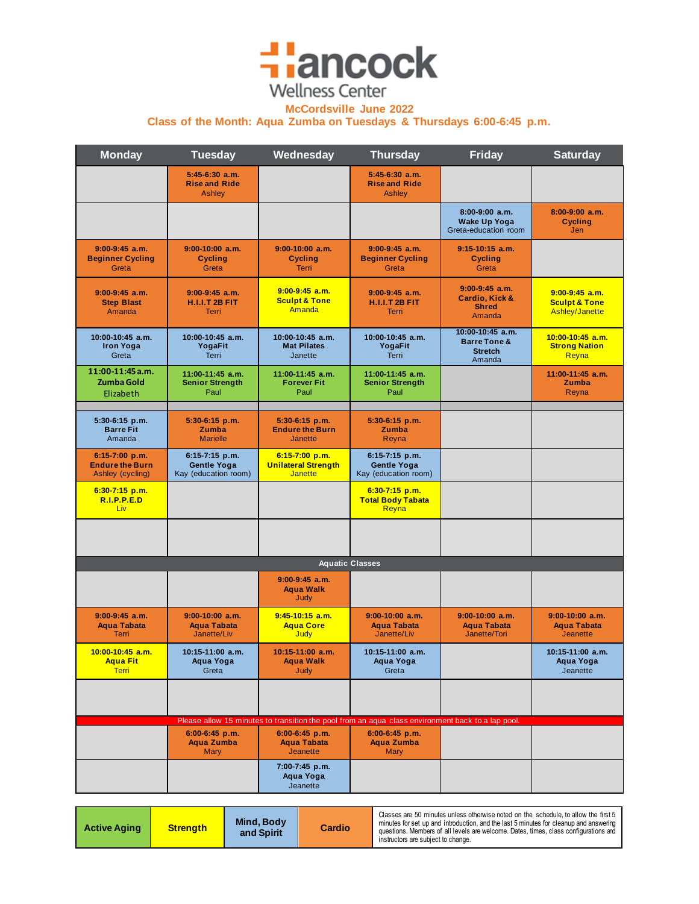## **Hancock Wellness Center**

**McCordsville June 2022**

**Class of the Month: Aqua Zumba on Tuesdays & Thursdays 6:00-6:45 p.m.**

| <b>Monday</b>                                                  | <b>Tuesday</b>                                               | Wednesday                                                                                         | <b>Thursday</b>                                              | <b>Friday</b>                                                           | <b>Saturday</b>                                                |
|----------------------------------------------------------------|--------------------------------------------------------------|---------------------------------------------------------------------------------------------------|--------------------------------------------------------------|-------------------------------------------------------------------------|----------------------------------------------------------------|
|                                                                | $5:45-6:30$ a.m.<br><b>Rise and Ride</b><br><b>Ashley</b>    |                                                                                                   | $5:45-6:30$ a.m.<br><b>Rise and Ride</b><br><b>Ashley</b>    |                                                                         |                                                                |
|                                                                |                                                              |                                                                                                   |                                                              | $8:00-9:00$ a.m.<br><b>Wake Up Yoga</b><br>Greta-education room         | $8:00-9:00$ a.m.<br><b>Cycling</b><br>Jen                      |
| $9:00-9:45$ a.m.<br><b>Beginner Cycling</b><br>Greta           | $9:00-10:00$ a.m.<br><b>Cycling</b><br>Greta                 | $9:00-10:00$ a.m.<br><b>Cycling</b><br><b>Terri</b>                                               | $9:00-9:45$ a.m.<br><b>Beginner Cycling</b><br>Greta         | $9:15-10:15$ a.m.<br><b>Cycling</b><br>Greta                            |                                                                |
| $9:00-9:45$ a.m.<br><b>Step Blast</b><br>Amanda                | $9:00-9:45$ a.m.<br><b>H.I.I.T 2B FIT</b><br><b>Terri</b>    | $9:00-9:45$ a.m.<br><b>Sculpt &amp; Tone</b><br>Amanda                                            | $9:00-9:45$ a.m.<br><b>H.I.I.T 2B FIT</b><br><b>Terri</b>    | $9:00-9:45$ a.m.<br>Cardio, Kick &<br><b>Shred</b><br>Amanda            | $9:00-9:45$ a.m.<br><b>Sculpt &amp; Tone</b><br>Ashley/Janette |
| 10:00-10:45 a.m.<br><b>Iron Yoga</b><br>Greta                  | 10:00-10:45 a.m.<br>YogaFit<br><b>Terri</b>                  | 10:00-10:45 a.m.<br><b>Mat Pilates</b><br>Janette                                                 | 10:00-10:45 a.m.<br>YogaFit<br><b>Terri</b>                  | 10:00-10:45 a.m.<br><b>Barre Tone &amp;</b><br><b>Stretch</b><br>Amanda | $10:00-10:45$ a.m.<br><b>Strong Nation</b><br>Reyna            |
| 11:00-11:45 a.m.<br>Zumba Gold<br>Elizabeth                    | 11:00-11:45 a.m.<br><b>Senior Strength</b><br>Paul           | 11:00-11:45 a.m.<br><b>Forever Fit</b><br>Paul                                                    | 11:00-11:45 a.m.<br><b>Senior Strength</b><br>Paul           |                                                                         | $11:00-11:45$ a.m.<br>Zumba<br>Reyna                           |
| 5:30-6:15 p.m.<br><b>Barre Fit</b><br>Amanda                   | 5:30-6:15 p.m.<br>Zumba<br><b>Marielle</b>                   | $5:30-6:15$ p.m.<br><b>Endure the Burn</b><br><b>Janette</b>                                      | 5:30-6:15 p.m.<br>Zumba<br>Reyna                             |                                                                         |                                                                |
| $6:15-7:00$ p.m.<br><b>Endure the Burn</b><br>Ashley (cycling) | 6:15-7:15 p.m.<br><b>Gentle Yoga</b><br>Kay (education room) | $6:15-7:00 p.m.$<br><b>Unilateral Strength</b><br><b>Janette</b>                                  | 6:15-7:15 p.m.<br><b>Gentle Yoga</b><br>Kay (education room) |                                                                         |                                                                |
| $6:30-7:15$ p.m.<br>R.I.P.P.E.D<br>Liv                         |                                                              |                                                                                                   | $6:30-7:15$ p.m.<br><b>Total Body Tabata</b><br>Reyna        |                                                                         |                                                                |
|                                                                |                                                              |                                                                                                   |                                                              |                                                                         |                                                                |
|                                                                |                                                              |                                                                                                   | <b>Aquatic Classes</b>                                       |                                                                         |                                                                |
|                                                                |                                                              | $9:00-9:45$ a.m.<br><b>Aqua Walk</b><br>Judy                                                      |                                                              |                                                                         |                                                                |
| $9:00-9:45$ a.m.<br><b>Aqua Tabata</b><br>Terri                | $9:00-10:00$ a.m.<br><b>Agua Tabata</b><br>Janette/Liv       | $9:45-10:15$ a.m.<br><b>Aqua Core</b><br>Judy                                                     | $9:00-10:00$ a.m.<br><b>Agua Tabata</b><br>Janette/Liv       | $9:00-10:00$ a.m.<br><b>Agua Tabata</b><br>Janette/Tori                 | $9:00-10:00$ a.m.<br><b>Aqua Tabata</b><br><b>Jeanette</b>     |
| $10:00-10:45$ a.m.<br><b>Aqua Fit</b><br><b>Terri</b>          | 10:15-11:00 a.m.<br>Aqua Yoga<br>Greta                       | $10:15-11:00$ a.m.<br>Aqua Walk<br>Judy                                                           | $10:15-11:00$ a.m.<br>Aqua Yoga<br>Greta                     |                                                                         | $10:15-11:00$ a.m.<br>Aqua Yoga<br>Jeanette                    |
|                                                                |                                                              |                                                                                                   |                                                              |                                                                         |                                                                |
|                                                                |                                                              | Please allow 15 minutes to transition the pool from an aqua class environment back to a lap pool. | $6:00-6:45$ p.m.                                             |                                                                         |                                                                |
|                                                                | $6:00-6:45$ p.m.<br><b>Aqua Zumba</b><br><b>Mary</b>         | $6:00-6:45$ p.m.<br><b>Agua Tabata</b><br><b>Jeanette</b>                                         | <b>Aqua Zumba</b><br>Mary                                    |                                                                         |                                                                |
|                                                                |                                                              | 7:00-7:45 p.m.<br>Aqua Yoga<br>Jeanette                                                           |                                                              |                                                                         |                                                                |

| <b>Active Aging</b> | Mind, Body<br>and Spirit | <u>Strength</u> | Cardio | Classes are 50 minutes unless otherwise noted on the schedule, to allow the first 5<br>minutes for set up and introduction, and the last 5 minutes for cleanup and answering<br>questions. Members of all levels are welcome. Dates, times, class configurations and<br>instructors are subject to change. |
|---------------------|--------------------------|-----------------|--------|------------------------------------------------------------------------------------------------------------------------------------------------------------------------------------------------------------------------------------------------------------------------------------------------------------|
|---------------------|--------------------------|-----------------|--------|------------------------------------------------------------------------------------------------------------------------------------------------------------------------------------------------------------------------------------------------------------------------------------------------------------|